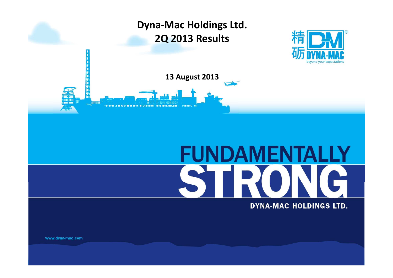





# **FUNDAMENTALLY**

### **DYNA-MAC HOLDINGS LTD.**

www.dyna-mac.com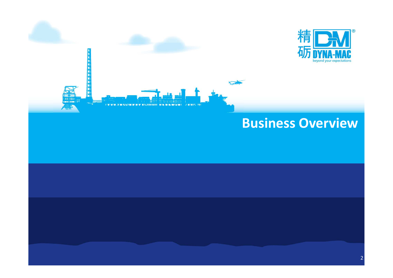

# **Business Overview**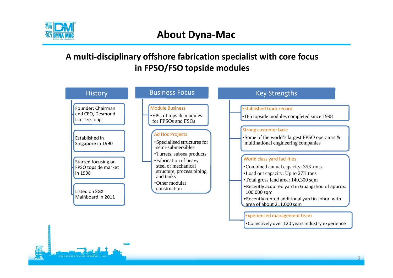

## **A multi-disciplinary offshore fabrication specialist with core focus in FPSO/FSO topside modules**



•Collectively over 120 years industry experience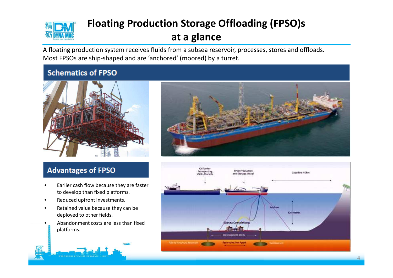

# **Floating Production Storage Offloading (FPSO)s at a glance**

A floating production system receives fluids from a subsea reservoir, processes, stores and offloads. Most FPSOs are ship-shaped and are 'anchored' (moored) by a turret.

### **Schematics of FPSO**





### **Advantages of FPSO**

- Earlier cash flow because they are faster to develop than fixed platforms.
- Reduced upfront investments.
- Retained value because they can be deployed to other fields.
- Abandonment costs are less than fixed platforms.

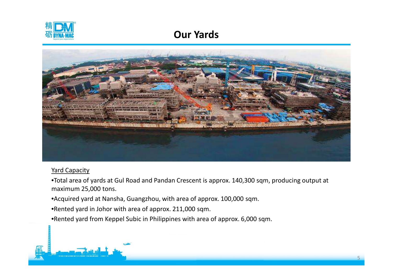

# **Our Yards**



### Yard Capacity

•Total area of yards at Gul Road and Pandan Crescent is approx. 140,300 sqm, producing output at maximum 25,000 tons.

- •Acquired yard at Nansha, Guangzhou, with area of approx. 100,000 sqm.
- •Rented yard in Johor with area of approx. 211,000 sqm.
- •Rented yard from Keppel Subic in Philippines with area of approx. 6,000 sqm.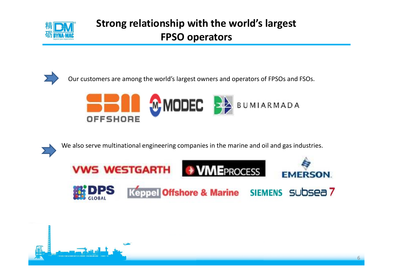

# **Strong relationship with the world's largest FPSO operators**



Our customers are among the world's largest owners and operators of FPSOs and FSOs.



We also serve multinational engineering companies in the marine and oil and gas industries.



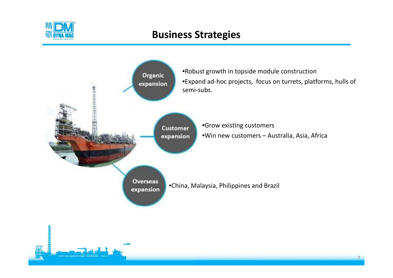

# **Business Strategies**

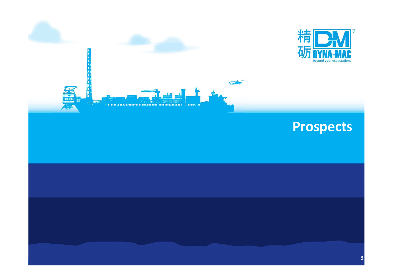



beyond your expectations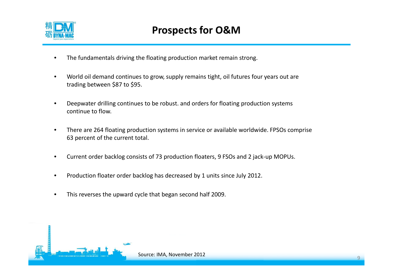

- The fundamentals driving the floating production market remain strong.
- World oil demand continues to grow, supply remains tight, oil futures four years out are trading between \$87 to \$95.
- Deepwater drilling continues to be robust. and orders for floating production systems continue to flow.
- There are 264 floating production systems in service or available worldwide. FPSOs comprise 63 percent of the current total.
- Current order backlog consists of 73 production floaters, 9 FSOs and 2 jack-up MOPUs.
- Production floater order backlog has decreased by 1 units since July 2012.
- This reverses the upward cycle that began second half 2009.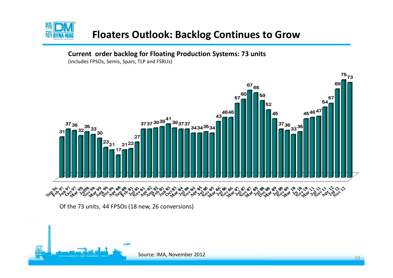

# **Floaters Outlook: Backlog Continues to Grow**

### **Current order backlog for Floating Production Systems: 73 units**

(includes FPSOs, Semis, Spars, TLP and FSRUs)



Of the 73 units, 44 FPSOs (18 new, 26 conversions)

Source: IMA, November 2012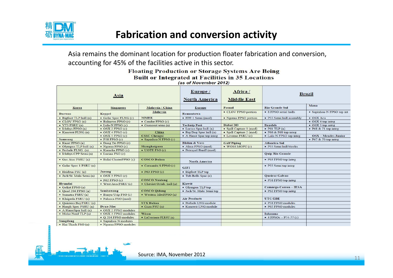

Asia remains the dominant location for production floater fabrication and conversion, accounting for 45% of the facilities active in this sector.

### **Floating Production or Storage Systems Are Being Built or Integrated at Facilities in 35 Locations** (as of November 2012)

| Asia                        |                            |                           | Europe /<br><b>North America</b> | Africa /<br><b>Middle East</b> | <b>Brazil</b>                 |                              |
|-----------------------------|----------------------------|---------------------------|----------------------------------|--------------------------------|-------------------------------|------------------------------|
| Korea                       | Singapore                  | Malaysia / China          | <b>Europe</b>                    | Paenal                         | <b>Rio Grande Sul</b>         | Maua                         |
| <b>Daewoo</b>               | Keppel                     | Malaysia                  | Remontowa                        | • CLOV FPSO portion            | • 8 FPSO serial hulls         | · Sapinhoa-N FPSO top int    |
| · Bigfoot TLP hull (n)      | • Golar Spec FLNG (c)      | <b>MMHE</b>               | • FPF-1 Semi (mod)               | • Ngoma FPSO portion           | · P55 Semi hull assembly      | • OSX Acu                    |
| $\bullet$ CLOV FPSO $(n)$   | · Balnaves FPSO (c)        | • Cendor FPSO (c)         |                                  |                                |                               | • OSX 4 top integ            |
| $\bullet$ VT3 FSRU $(n)$    | · Lula-N FPSO (c)          | • Gumusut semi (n)        | <b>Technip Pori</b>              | Dubai DD                       | <b>Brasfels</b>               | • OSX 5 top integ            |
| • Ichthys FPSO (n)          | $\bullet$ OSX 2 FPSO $(c)$ |                           | • Lucius Spar hull (n)           | · Spill Capture 1 (mod)        | $\bullet$ P61 TLP $(n)$       | $\bullet$ P68 & 71 top integ |
| • Kanowit FLNG (n)          | $\bullet$ OSX 4 FPSO (c)   | China                     | • Big Dog Spar hull (n)          | · Spill Capture 2 (mod)        | $\bullet$ P66 & P69 top integ |                              |
|                             | $\bullet$ OSX 5 FPSO (c)   | <b>CSSC Chengxi</b>       | • A Hanst Spar top integ         | · Livomo FSRU (c)              | • Lula-N FPSO top integ       | OSX - Mendes Junior          |
| Samsung                     | $\bullet$ P58 FPSO $(c)$   | · Sapinhoa N FPSO (c)     |                                  |                                |                               | $\bullet$ P67 & 70 top integ |
| • Knarr FPSO (n)            | • Dong Do FPSO (c)         |                           | <b>Blohm &amp; Voss</b>          | <b>Gulf Piping</b>             | <b>Atlantico Sul</b>          |                              |
| • Olympus TLP hull (n)      | • Ngoma FPSO (c)           | Shanghaiguan              | · Alma FPSO (mod)                | $\bullet$ WO16 MOPU $(c)$      | · P55 Semi hull blocks        |                              |
| • Prelude FLNG (n)          | · Kamelia FPSO (c)         | $\bullet$ UOTE FSO $(c)$  | · Petrojarl Banff (mod)          |                                |                               |                              |
| • Ichthys CPP Semi(n)       | • Lucina FSO (c)           |                           |                                  |                                | <b>Quip Rio Grande</b>        |                              |
| • Gas Atac FSRU (n)         | · Balai ClusterFPSO (c)    | <b>COSCO Dalian</b>       | <b>North America</b>             |                                | • P63 FPSO top integ          |                              |
| • Golar Spec 1 FSRU (n)     |                            | • Cemambi S FPSO (c)      | <b>GIFI</b>                      |                                | • P55 Semi top integ          |                              |
| · Heidrun FSU (n)           | Jurong                     | $\bullet$ P63 FPSO $(c)$  | • Bigfoot TLP top                |                                |                               |                              |
| · Jack/St. Malo Semi (n)    | $\bullet$ OSX 3 FPSO $(c)$ |                           | • Tub Bells Spar (n)             |                                | Queiroz Galvao                |                              |
|                             | $\bullet$ P62 FPSO $(c)$   | <b>COSCO Nantong</b>      |                                  |                                | • P58 FPSO top integ          |                              |
| Hvundai                     | • West Java FSRU (c)       | • Cheviot Octab. hull (n) | Kiewit                           |                                |                               |                              |
| • Goliat FPSO (n)           |                            |                           | • Olympus TLP top                |                                | Camargo Correa - IESA         |                              |
| $\bullet$ Quad 204 FPSO (n) | Sembawang                  | <b>COSCO Qidong</b>       | · Jack/St. Malo Semi top         |                                | • P62 FPSO top integ          |                              |
| · Sumatra FSRU (n)          | · Banyu Urip FSO (c)       | • Western IslesFPSO (n)   |                                  |                                |                               |                              |
| • Klaipeda FSRU (n)         | · Palanca FSO (mod)        |                           | <b>Air Products</b>              |                                | <b>UTC/EBE</b>                |                              |
| • Quintero BayFSRU (n)      |                            | <b>STX Dalian</b>         | · Prelude LNG module             |                                | · P58 FPSO modules            |                              |
| • Hoegh Spec FSRU (n)       | Dyna-Mac                   | $\bullet$ Gaza FSU $(n)$  | · Kanowit LNG module             |                                | · P62 FPSO modules            |                              |
| • A HanstSpar hull (n)      | • OSX 2 FPSO modules       |                           |                                  |                                |                               |                              |
| • Moho Nord TLP (n)         | • OSX 3 FPSO modules       | Wison                     |                                  |                                | Inhauma                       |                              |
|                             | • O 204 FPSO modules       | • LaCreciente FLRSU (n)   |                                  |                                | • 4 FPSOs - P74-77 $(c)$      |                              |
| Sungdong                    | · Sapinhoa N modules       |                           |                                  |                                |                               |                              |
| • Hai Thach FSO (n)         | · Ngoma FPSO modules       |                           |                                  |                                |                               |                              |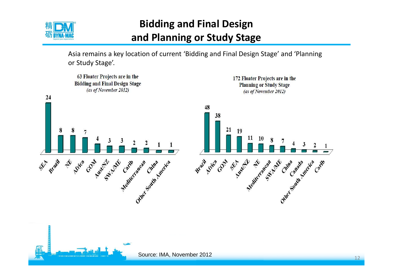

# **Bidding and Final Design and Planning or Study Stage**

Asia remains a key location of current 'Bidding and Final Design Stage' and 'Planning or Study Stage'.

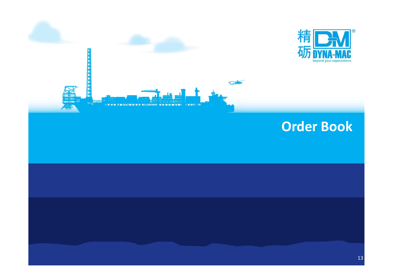



# **Order Book**

13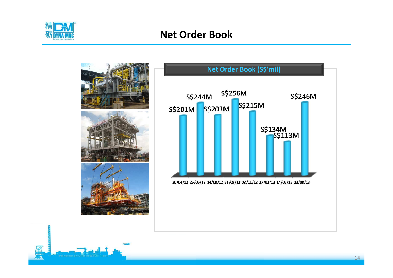

# **Net Order Book**

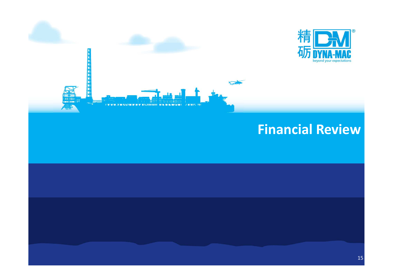



# **Financial Review**

15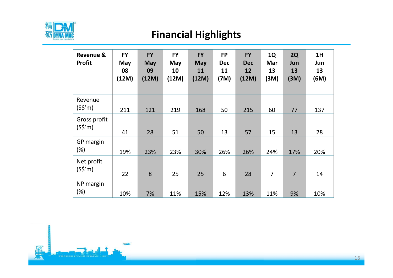

# **Financial Highlights**

| <b>Revenue &amp;</b><br><b>Profit</b> | <b>FY</b><br>May<br>08<br>(12M) | <b>FY</b><br><b>May</b><br>09<br>(12M) | <b>FY</b><br>May<br>10<br>(12M) | <b>FY</b><br><b>May</b><br>11<br>(12M) | <b>FP</b><br><b>Dec</b><br>11<br>(7M) | <b>FY</b><br><b>Dec</b><br>12<br>(12M) | <b>1Q</b><br>Mar<br>13<br>(3M) | 2Q<br>Jun<br>13<br>(3M) | 1H<br>Jun<br>13<br>(6M) |
|---------------------------------------|---------------------------------|----------------------------------------|---------------------------------|----------------------------------------|---------------------------------------|----------------------------------------|--------------------------------|-------------------------|-------------------------|
| Revenue<br>$(S\sin)$                  | 211                             | 121                                    | 219                             | 168                                    | 50                                    | 215                                    | 60                             | 77                      | 137                     |
| Gross profit<br>$(S\sin)$             | 41                              | 28                                     | 51                              | 50                                     | 13                                    | 57                                     | 15                             | 13                      | 28                      |
| GP margin<br>$(\%)$                   | 19%                             | 23%                                    | 23%                             | 30%                                    | 26%                                   | 26%                                    | 24%                            | 17%                     | 20%                     |
| Net profit<br>$(S\sin)$               | 22                              | 8                                      | 25                              | 25                                     | 6                                     | 28                                     | $\overline{7}$                 | $\overline{7}$          | 14                      |
| NP margin<br>$(\%)$                   | 10%                             | 7%                                     | 11%                             | 15%                                    | 12%                                   | 13%                                    | 11%                            | 9%                      | 10%                     |

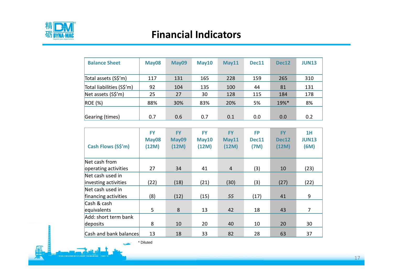

# **Financial Indicators**

| <b>Balance Sheet</b>      | May08 | May09 | May10 | May11 | Dec11 | Dec12 | <b>JUN13</b> |
|---------------------------|-------|-------|-------|-------|-------|-------|--------------|
| Total assets (S\$'m)      | 117   | 131   | 165   | 228   | 159   | 265   | 310          |
| Total liabilities (S\$'m) | 92    | 104   | 135   | 100   | 44    | 81    | 131          |
| Net assets (S\$'m)        | 25    | 27    | 30    | 128   | 115   | 184   | 178          |
| ROE(%)                    | 88%   | 30%   | 83%   | 20%   | 5%    | 19%*  | 8%           |
|                           |       |       |       |       |       |       |              |
| Gearing (times)           | 0.7   | 0.6   | 0.7   | 0.1   | 0.0   | 0.0   | 0.2          |

| Cash Flows (S\$'m)     | <b>FY</b><br>May08<br>(12M) | <b>FY</b><br>May09<br>(12M) | <b>FY</b><br>May10<br>(12M) | <b>FY</b><br>May11<br>(12M) | <b>FP</b><br>Dec11<br>(7M) | <b>FY</b><br>Dec12<br>(12M) | 1H<br><b>JUN13</b><br>(6M) |
|------------------------|-----------------------------|-----------------------------|-----------------------------|-----------------------------|----------------------------|-----------------------------|----------------------------|
| Net cash from          |                             |                             |                             |                             |                            |                             |                            |
| operating activities   | 27                          | 34                          | 41                          | $\overline{4}$              | (3)                        | 10                          | (23)                       |
| Net cash used in       |                             |                             |                             |                             |                            |                             |                            |
| investing activities   | (22)                        | (18)                        | (21)                        | (30)                        | (3)                        | (27)                        | (22)                       |
| Net cash used in       |                             |                             |                             |                             |                            |                             |                            |
| financing activities   | (8)                         | (12)                        | (15)                        | 55                          | (17)                       | 41                          | 9                          |
| Cash & cash            |                             |                             |                             |                             |                            |                             |                            |
| equivalents            | 5                           | 8                           | 13                          | 42                          | 18                         | 43                          | $\overline{7}$             |
| Add: short term bank   |                             |                             |                             |                             |                            |                             |                            |
| deposits               | 8                           | 10                          | 20                          | 40                          | 10                         | 20                          | 30                         |
| Cash and bank balances | 13                          | 18                          | 33                          | 82                          | 28                         | 63                          | 37                         |

\* Diluted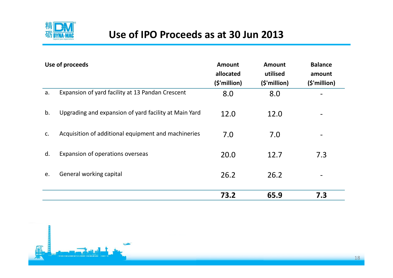

# **Use of IPO Proceeds as at 30 Jun 2013**

|    | Use of proceeds                                       | <b>Amount</b><br>allocated<br>(\$'million) | <b>Amount</b><br>utilised<br>(\$'million) | <b>Balance</b><br>amount<br>(\$'million) |
|----|-------------------------------------------------------|--------------------------------------------|-------------------------------------------|------------------------------------------|
| a. | Expansion of yard facility at 13 Pandan Crescent      | 8.0                                        | 8.0                                       |                                          |
| b. | Upgrading and expansion of yard facility at Main Yard | 12.0                                       | 12.0                                      |                                          |
| C. | Acquisition of additional equipment and machineries   | 7.0                                        | 7.0                                       |                                          |
| d. | Expansion of operations overseas                      | 20.0                                       | 12.7                                      | 7.3                                      |
| e. | General working capital                               | 26.2                                       | 26.2                                      |                                          |
|    |                                                       | 73.2                                       | 65.9                                      | 7.3                                      |

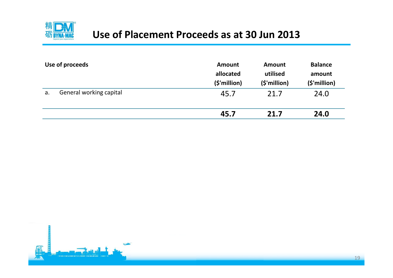

# **Use of Placement Proceeds as at 30 Jun 2013**

|    | Use of proceeds         | <b>Amount</b><br>allocated<br>(\$'million) | <b>Amount</b><br>utilised<br>(\$'million) | <b>Balance</b><br>amount<br>$(\frac{1}{2})$ million) |
|----|-------------------------|--------------------------------------------|-------------------------------------------|------------------------------------------------------|
| a. | General working capital | 45.7                                       | 21.7                                      | 24.0                                                 |
|    |                         | 45.7                                       | 21.7                                      | 24.0                                                 |

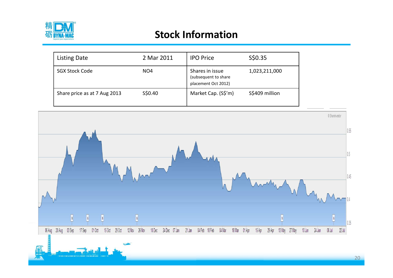

# **Stock Information**

| <b>Listing Date</b>          | 2 Mar 2011      | <b>IPO Price</b>                                               | S\$0.35        |
|------------------------------|-----------------|----------------------------------------------------------------|----------------|
| <b>SGX Stock Code</b>        | NO <sub>4</sub> | Shares in issue<br>(subsequent to share<br>placement Oct 2012) | 1,023,211,000  |
| Share price as at 7 Aug 2013 | S\$0.40         | Market Cap. (S\$'m)                                            | S\$409 million |

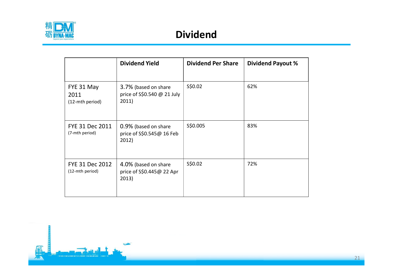

|                                           | <b>Dividend Yield</b>                                        | <b>Dividend Per Share</b> | <b>Dividend Payout %</b> |
|-------------------------------------------|--------------------------------------------------------------|---------------------------|--------------------------|
| FYE 31 May<br>2011<br>(12-mth period)     | 3.7% (based on share<br>price of S\$0.540 @ 21 July<br>2011) | S\$0.02                   | 62%                      |
| <b>FYE 31 Dec 2011</b><br>(7-mth period)  | 0.9% (based on share<br>price of S\$0.545@ 16 Feb<br>2012)   | S\$0.005                  | 83%                      |
| <b>FYE 31 Dec 2012</b><br>(12-mth period) | 4.0% (based on share<br>price of S\$0.445@ 22 Apr<br>2013)   | S\$0.02                   | 72%                      |